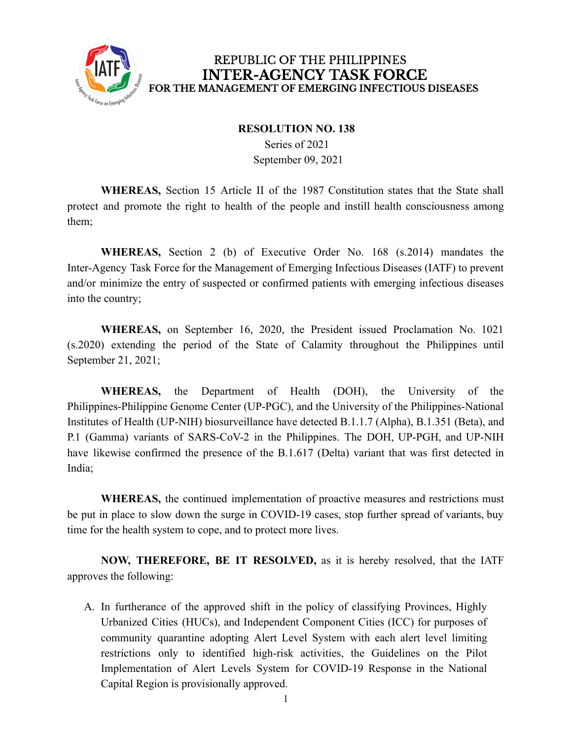

## REPUBLIC OF THE PHILIPPINES **INTER-AGENCY TASK FORCE** FOR THE MANAGEMENT OF EMERGING INFECTIOUS DISEASES

## **RESOLUTION NO. 138**

Series of 2021 September 09, 2021

**WHEREAS,** Section 15 Article II of the 1987 Constitution states that the State shall protect and promote the right to health of the people and instill health consciousness among them;

**WHEREAS,** Section 2 (b) of Executive Order No. 168 (s.2014) mandates the Inter-Agency Task Force for the Management of Emerging Infectious Diseases (IATF) to prevent and/or minimize the entry of suspected or confirmed patients with emerging infectious diseases into the country;

**WHEREAS,** on September 16, 2020, the President issued Proclamation No. 1021 (s.2020) extending the period of the State of Calamity throughout the Philippines until September 21, 2021;

**WHEREAS,** the Department of Health (DOH), the University of the Philippines-Philippine Genome Center (UP-PGC), and the University of the Philippines-National Institutes of Health (UP-NIH) biosurveillance have detected B.1.1.7 (Alpha), B.1.351 (Beta), and P.1 (Gamma) variants of SARS-CoV-2 in the Philippines. The DOH, UP-PGH, and UP-NIH have likewise confirmed the presence of the B.1.617 (Delta) variant that was first detected in India;

**WHEREAS,** the continued implementation of proactive measures and restrictions must be put in place to slow down the surge in COVID-19 cases, stop further spread of variants, buy time for the health system to cope, and to protect more lives.

**NOW, THEREFORE, BE IT RESOLVED,** as it is hereby resolved, that the IATF approves the following:

A. In furtherance of the approved shift in the policy of classifying Provinces, Highly Urbanized Cities (HUCs), and Independent Component Cities (ICC) for purposes of community quarantine adopting Alert Level System with each alert level limiting restrictions only to identified high-risk activities, the Guidelines on the Pilot Implementation of Alert Levels System for COVID-19 Response in the National Capital Region is provisionally approved.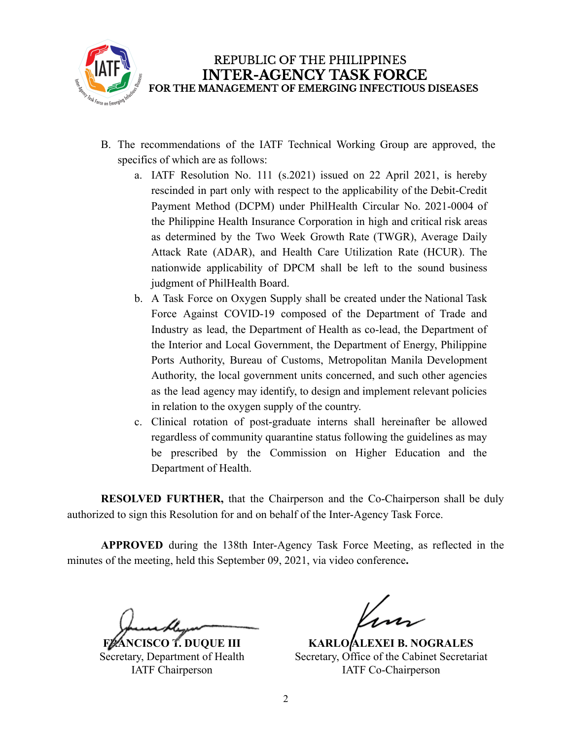

- B. The recommendations of the IATF Technical Working Group are approved, the specifics of which are as follows:
	- a. IATF Resolution No. 111 (s.2021) issued on 22 April 2021, is hereby rescinded in part only with respect to the applicability of the Debit-Credit Payment Method (DCPM) under PhilHealth Circular No. 2021-0004 of the Philippine Health Insurance Corporation in high and critical risk areas as determined by the Two Week Growth Rate (TWGR), Average Daily Attack Rate (ADAR), and Health Care Utilization Rate (HCUR). The nationwide applicability of DPCM shall be left to the sound business judgment of PhilHealth Board.
	- b. A Task Force on Oxygen Supply shall be created under the National Task Force Against COVID-19 composed of the Department of Trade and Industry as lead, the Department of Health as co-lead, the Department of the Interior and Local Government, the Department of Energy, Philippine Ports Authority, Bureau of Customs, Metropolitan Manila Development Authority, the local government units concerned, and such other agencies as the lead agency may identify, to design and implement relevant policies in relation to the oxygen supply of the country.
	- c. Clinical rotation of post-graduate interns shall hereinafter be allowed regardless of community quarantine status following the guidelines as may be prescribed by the Commission on Higher Education and the Department of Health.

**RESOLVED FURTHER,** that the Chairperson and the Co-Chairperson shall be duly authorized to sign this Resolution for and on behalf of the Inter-Agency Task Force.

**APPROVED** during the 138th Inter-Agency Task Force Meeting, as reflected in the minutes of the meeting, held this September 09, 2021, via video conference**.**

**FRANCISCO T. DUQUE III** Secretary, Department of Health IATF Chairperson

**KARLO ALEXEI B. NOGRALES** Secretary, Office of the Cabinet Secretariat IATF Co-Chairperson